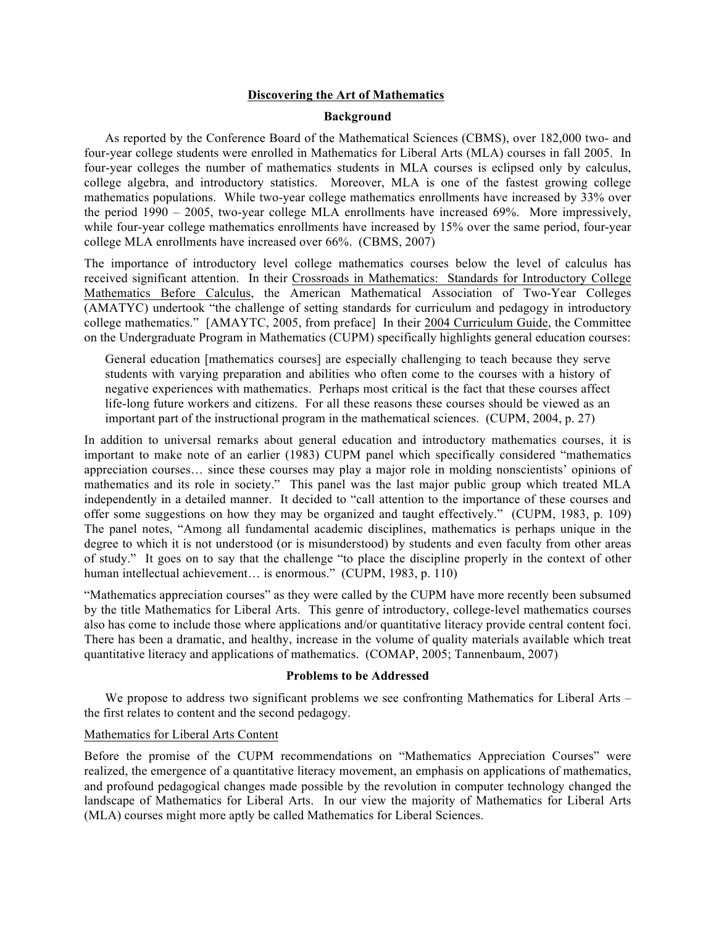#### **Discovering the Art of Mathematics**

#### **Background**

As reported by the Conference Board of the Mathematical Sciences (CBMS), over 182,000 two- and four-year college students were enrolled in Mathematics for Liberal Arts (MLA) courses in fall 2005. In four-year colleges the number of mathematics students in MLA courses is eclipsed only by calculus, college algebra, and introductory statistics. Moreover, MLA is one of the fastest growing college mathematics populations. While two-year college mathematics enrollments have increased by 33% over the period 1990 – 2005, two-year college MLA enrollments have increased 69%. More impressively, while four-year college mathematics enrollments have increased by 15% over the same period, four-year college MLA enrollments have increased over 66%. (CBMS, 2007)

The importance of introductory level college mathematics courses below the level of calculus has received significant attention. In their Crossroads in Mathematics: Standards for Introductory College Mathematics Before Calculus, the American Mathematical Association of Two-Year Colleges (AMATYC) undertook "the challenge of setting standards for curriculum and pedagogy in introductory college mathematics." [AMAYTC, 2005, from preface] In their 2004 Curriculum Guide, the Committee on the Undergraduate Program in Mathematics (CUPM) specifically highlights general education courses:

General education [mathematics courses] are especially challenging to teach because they serve students with varying preparation and abilities who often come to the courses with a history of negative experiences with mathematics. Perhaps most critical is the fact that these courses affect life-long future workers and citizens. For all these reasons these courses should be viewed as an important part of the instructional program in the mathematical sciences. (CUPM, 2004, p. 27)

In addition to universal remarks about general education and introductory mathematics courses, it is important to make note of an earlier (1983) CUPM panel which specifically considered "mathematics appreciation courses… since these courses may play a major role in molding nonscientists' opinions of mathematics and its role in society." This panel was the last major public group which treated MLA independently in a detailed manner. It decided to "call attention to the importance of these courses and offer some suggestions on how they may be organized and taught effectively." (CUPM, 1983, p. 109) The panel notes, "Among all fundamental academic disciplines, mathematics is perhaps unique in the degree to which it is not understood (or is misunderstood) by students and even faculty from other areas of study." It goes on to say that the challenge "to place the discipline properly in the context of other human intellectual achievement... is enormous." (CUPM, 1983, p. 110)

"Mathematics appreciation courses" as they were called by the CUPM have more recently been subsumed by the title Mathematics for Liberal Arts. This genre of introductory, college-level mathematics courses also has come to include those where applications and/or quantitative literacy provide central content foci. There has been a dramatic, and healthy, increase in the volume of quality materials available which treat quantitative literacy and applications of mathematics. (COMAP, 2005; Tannenbaum, 2007)

#### **Problems to be Addressed**

We propose to address two significant problems we see confronting Mathematics for Liberal Arts – the first relates to content and the second pedagogy.

#### Mathematics for Liberal Arts Content

Before the promise of the CUPM recommendations on "Mathematics Appreciation Courses" were realized, the emergence of a quantitative literacy movement, an emphasis on applications of mathematics, and profound pedagogical changes made possible by the revolution in computer technology changed the landscape of Mathematics for Liberal Arts. In our view the majority of Mathematics for Liberal Arts (MLA) courses might more aptly be called Mathematics for Liberal Sciences.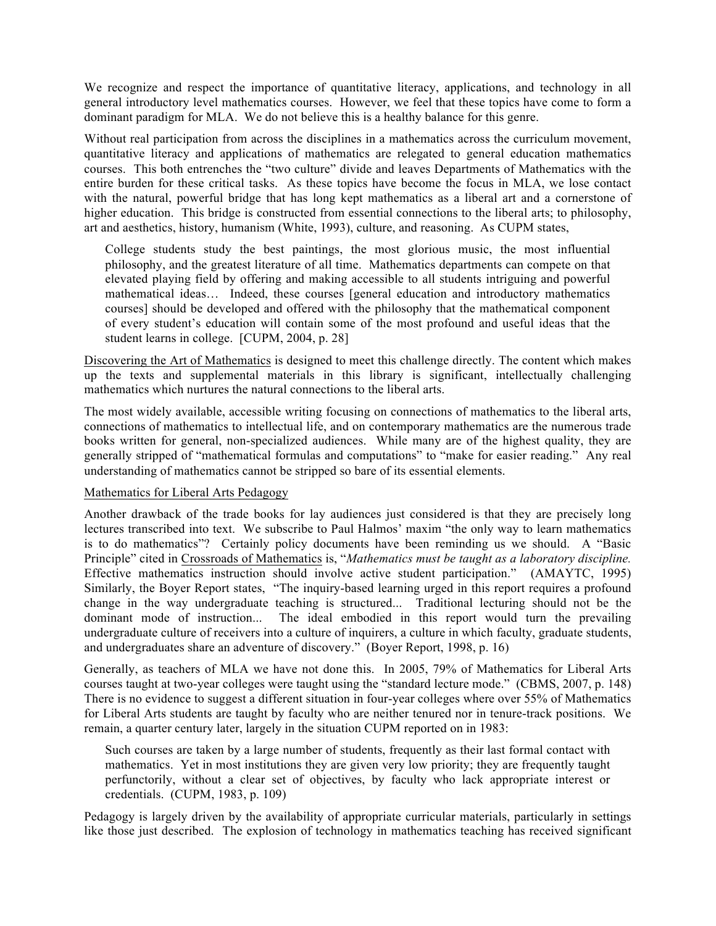We recognize and respect the importance of quantitative literacy, applications, and technology in all general introductory level mathematics courses. However, we feel that these topics have come to form a dominant paradigm for MLA. We do not believe this is a healthy balance for this genre.

Without real participation from across the disciplines in a mathematics across the curriculum movement, quantitative literacy and applications of mathematics are relegated to general education mathematics courses. This both entrenches the "two culture" divide and leaves Departments of Mathematics with the entire burden for these critical tasks. As these topics have become the focus in MLA, we lose contact with the natural, powerful bridge that has long kept mathematics as a liberal art and a cornerstone of higher education. This bridge is constructed from essential connections to the liberal arts; to philosophy, art and aesthetics, history, humanism (White, 1993), culture, and reasoning. As CUPM states,

College students study the best paintings, the most glorious music, the most influential philosophy, and the greatest literature of all time. Mathematics departments can compete on that elevated playing field by offering and making accessible to all students intriguing and powerful mathematical ideas… Indeed, these courses [general education and introductory mathematics courses] should be developed and offered with the philosophy that the mathematical component of every student's education will contain some of the most profound and useful ideas that the student learns in college. [CUPM, 2004, p. 28]

Discovering the Art of Mathematics is designed to meet this challenge directly. The content which makes up the texts and supplemental materials in this library is significant, intellectually challenging mathematics which nurtures the natural connections to the liberal arts.

The most widely available, accessible writing focusing on connections of mathematics to the liberal arts, connections of mathematics to intellectual life, and on contemporary mathematics are the numerous trade books written for general, non-specialized audiences. While many are of the highest quality, they are generally stripped of "mathematical formulas and computations" to "make for easier reading." Any real understanding of mathematics cannot be stripped so bare of its essential elements.

### Mathematics for Liberal Arts Pedagogy

Another drawback of the trade books for lay audiences just considered is that they are precisely long lectures transcribed into text. We subscribe to Paul Halmos' maxim "the only way to learn mathematics is to do mathematics"? Certainly policy documents have been reminding us we should. A "Basic Principle" cited in Crossroads of Mathematics is, "*Mathematics must be taught as a laboratory discipline.* Effective mathematics instruction should involve active student participation." (AMAYTC, 1995) Similarly, the Boyer Report states, "The inquiry-based learning urged in this report requires a profound change in the way undergraduate teaching is structured... Traditional lecturing should not be the dominant mode of instruction... The ideal embodied in this report would turn the prevailing undergraduate culture of receivers into a culture of inquirers, a culture in which faculty, graduate students, and undergraduates share an adventure of discovery." (Boyer Report, 1998, p. 16)

Generally, as teachers of MLA we have not done this. In 2005, 79% of Mathematics for Liberal Arts courses taught at two-year colleges were taught using the "standard lecture mode." (CBMS, 2007, p. 148) There is no evidence to suggest a different situation in four-year colleges where over 55% of Mathematics for Liberal Arts students are taught by faculty who are neither tenured nor in tenure-track positions. We remain, a quarter century later, largely in the situation CUPM reported on in 1983:

Such courses are taken by a large number of students, frequently as their last formal contact with mathematics. Yet in most institutions they are given very low priority; they are frequently taught perfunctorily, without a clear set of objectives, by faculty who lack appropriate interest or credentials. (CUPM, 1983, p. 109)

Pedagogy is largely driven by the availability of appropriate curricular materials, particularly in settings like those just described. The explosion of technology in mathematics teaching has received significant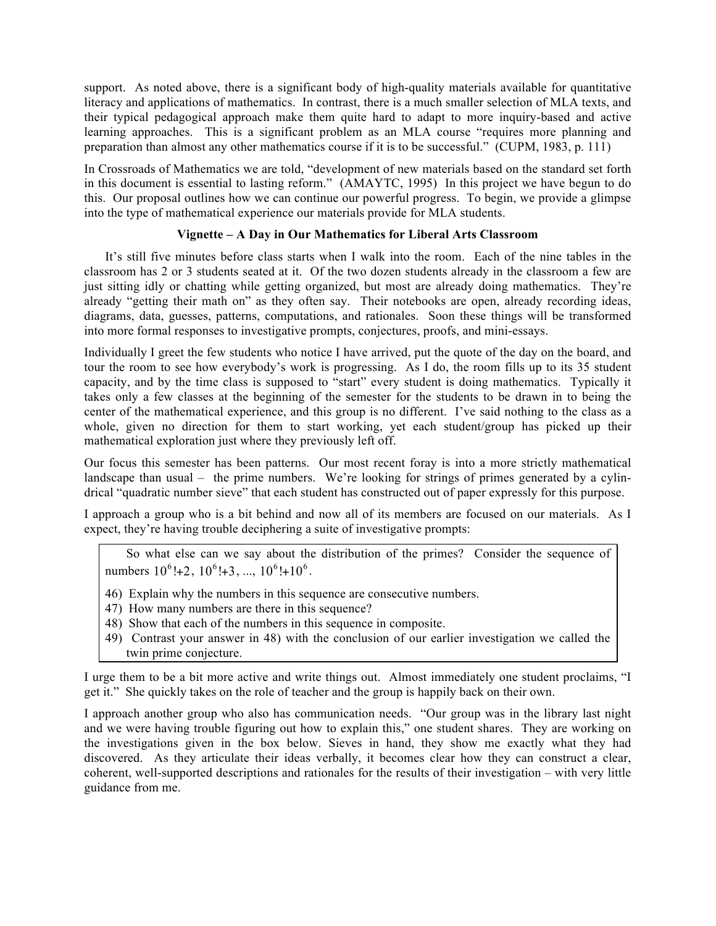support. As noted above, there is a significant body of high-quality materials available for quantitative literacy and applications of mathematics. In contrast, there is a much smaller selection of MLA texts, and their typical pedagogical approach make them quite hard to adapt to more inquiry-based and active learning approaches. This is a significant problem as an MLA course "requires more planning and preparation than almost any other mathematics course if it is to be successful." (CUPM, 1983, p. 111)

In Crossroads of Mathematics we are told, "development of new materials based on the standard set forth in this document is essential to lasting reform." (AMAYTC, 1995) In this project we have begun to do this. Our proposal outlines how we can continue our powerful progress. To begin, we provide a glimpse into the type of mathematical experience our materials provide for MLA students.

## **Vignette – A Day in Our Mathematics for Liberal Arts Classroom**

It's still five minutes before class starts when I walk into the room. Each of the nine tables in the classroom has 2 or 3 students seated at it. Of the two dozen students already in the classroom a few are just sitting idly or chatting while getting organized, but most are already doing mathematics. They're already "getting their math on" as they often say. Their notebooks are open, already recording ideas, diagrams, data, guesses, patterns, computations, and rationales. Soon these things will be transformed into more formal responses to investigative prompts, conjectures, proofs, and mini-essays.

Individually I greet the few students who notice I have arrived, put the quote of the day on the board, and tour the room to see how everybody's work is progressing. As I do, the room fills up to its 35 student capacity, and by the time class is supposed to "start" every student is doing mathematics. Typically it takes only a few classes at the beginning of the semester for the students to be drawn in to being the center of the mathematical experience, and this group is no different. I've said nothing to the class as a whole, given no direction for them to start working, yet each student/group has picked up their mathematical exploration just where they previously left off.

Our focus this semester has been patterns. Our most recent foray is into a more strictly mathematical landscape than usual  $-$  the prime numbers. We're looking for strings of primes generated by a cylindrical "quadratic number sieve" that each student has constructed out of paper expressly for this purpose.

I approach a group who is a bit behind and now all of its members are focused on our materials. As I expect, they're having trouble deciphering a suite of investigative prompts:

So what else can we say about the distribution of the primes? Consider the sequence of numbers  $10^6$ !+2,  $10^6$ !+3, ...,  $10^6$ !+ $10^6$ .

- 46) Explain why the numbers in this sequence are consecutive numbers.
- 47) How many numbers are there in this sequence?
- 48) Show that each of the numbers in this sequence in composite.
- 49) Contrast your answer in 48) with the conclusion of our earlier investigation we called the twin prime conjecture.

I urge them to be a bit more active and write things out. Almost immediately one student proclaims, "I get it." She quickly takes on the role of teacher and the group is happily back on their own.

I approach another group who also has communication needs. "Our group was in the library last night and we were having trouble figuring out how to explain this," one student shares. They are working on the investigations given in the box below. Sieves in hand, they show me exactly what they had discovered. As they articulate their ideas verbally, it becomes clear how they can construct a clear, coherent, well-supported descriptions and rationales for the results of their investigation – with very little guidance from me.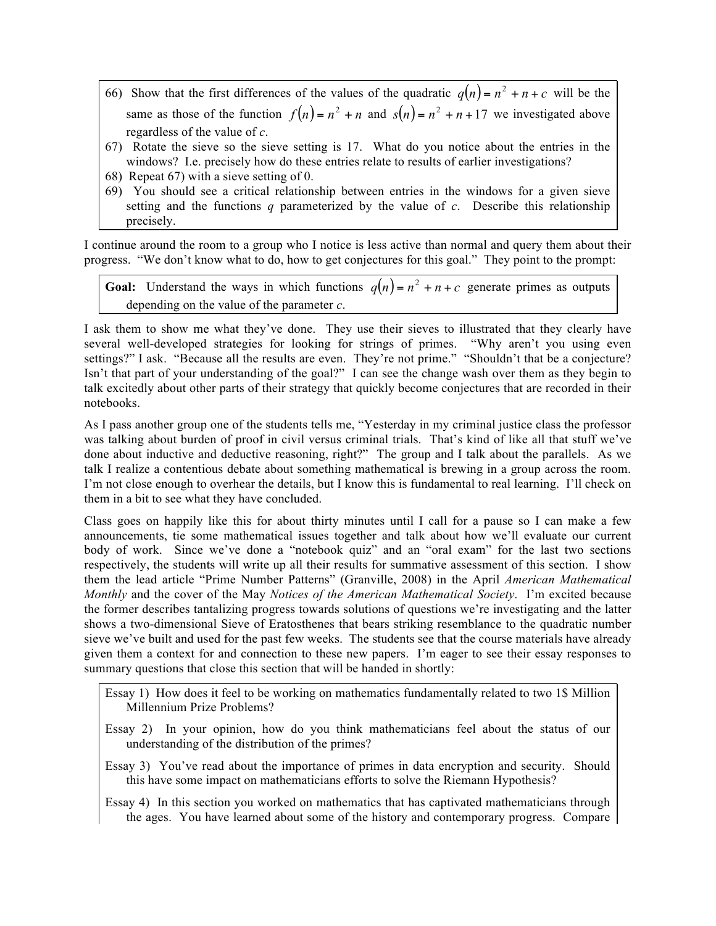- 66) Show that the first differences of the values of the quadratic  $q(n) = n^2 + n + c$  will be the same as those of the function  $f(n) = n^2 + n$  and  $s(n) = n^2 + n + 17$  we investigated above regardless of the value of *c*.
- 67) Rotate the sieve so the sieve setting is 17. What do you notice about the entries in the windows? I.e. precisely how do these entries relate to results of earlier investigations?
- 68) Repeat 67) with a sieve setting of 0.
- 69) You should see a critical relationship between entries in the windows for a given sieve setting and the functions *q* parameterized by the value of *c*. Describe this relationship precisely.

I continue around the room to a group who I notice is less active than normal and query them about their progress. "We don't know what to do, how to get conjectures for this goal." They point to the prompt:

**Goal:** Understand the ways in which functions  $q(n) = n^2 + n + c$  generate primes as outputs depending on the value of the parameter *c*.

I ask them to show me what they've done. They use their sieves to illustrated that they clearly have several well-developed strategies for looking for strings of primes. "Why aren't you using even settings?" I ask. "Because all the results are even. They're not prime." "Shouldn't that be a conjecture? Isn't that part of your understanding of the goal?" I can see the change wash over them as they begin to talk excitedly about other parts of their strategy that quickly become conjectures that are recorded in their notebooks.

As I pass another group one of the students tells me, "Yesterday in my criminal justice class the professor was talking about burden of proof in civil versus criminal trials. That's kind of like all that stuff we've done about inductive and deductive reasoning, right?" The group and I talk about the parallels. As we talk I realize a contentious debate about something mathematical is brewing in a group across the room. I'm not close enough to overhear the details, but I know this is fundamental to real learning. I'll check on them in a bit to see what they have concluded.

Class goes on happily like this for about thirty minutes until I call for a pause so I can make a few announcements, tie some mathematical issues together and talk about how we'll evaluate our current body of work. Since we've done a "notebook quiz" and an "oral exam" for the last two sections respectively, the students will write up all their results for summative assessment of this section. I show them the lead article "Prime Number Patterns" (Granville, 2008) in the April *American Mathematical Monthly* and the cover of the May *Notices of the American Mathematical Society*. I'm excited because the former describes tantalizing progress towards solutions of questions we're investigating and the latter shows a two-dimensional Sieve of Eratosthenes that bears striking resemblance to the quadratic number sieve we've built and used for the past few weeks. The students see that the course materials have already given them a context for and connection to these new papers. I'm eager to see their essay responses to summary questions that close this section that will be handed in shortly:

- Essay 1) How does it feel to be working on mathematics fundamentally related to two 1\$ Million Millennium Prize Problems?
- Essay 2) In your opinion, how do you think mathematicians feel about the status of our understanding of the distribution of the primes?
- Essay 3) You've read about the importance of primes in data encryption and security. Should this have some impact on mathematicians efforts to solve the Riemann Hypothesis?
- Essay 4) In this section you worked on mathematics that has captivated mathematicians through the ages. You have learned about some of the history and contemporary progress. Compare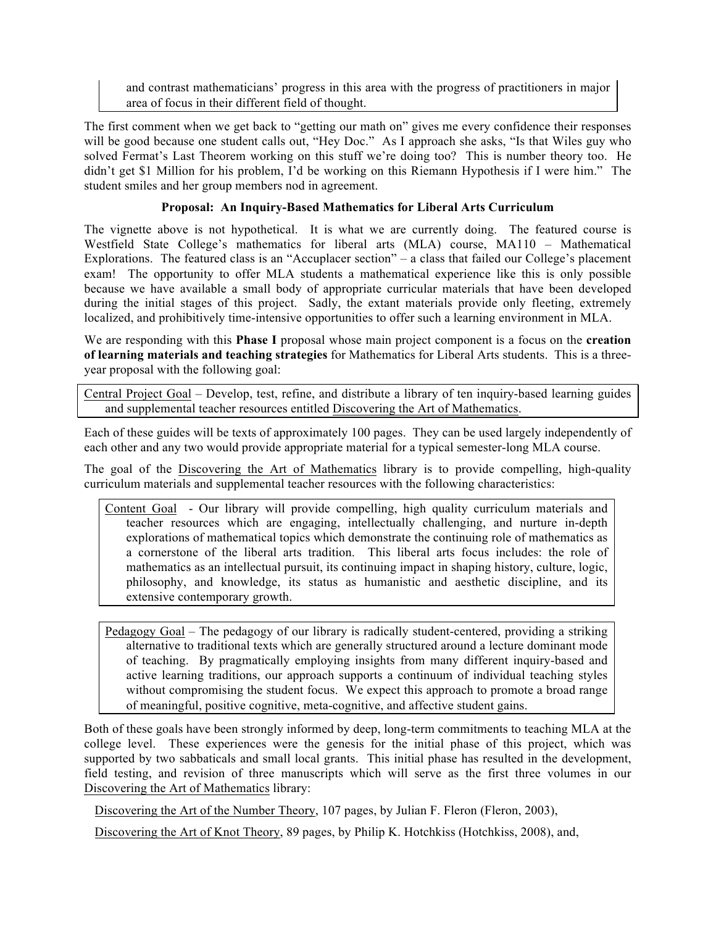and contrast mathematicians' progress in this area with the progress of practitioners in major area of focus in their different field of thought.

The first comment when we get back to "getting our math on" gives me every confidence their responses will be good because one student calls out, "Hey Doc." As I approach she asks, "Is that Wiles guy who solved Fermat's Last Theorem working on this stuff we're doing too? This is number theory too. He didn't get \$1 Million for his problem, I'd be working on this Riemann Hypothesis if I were him." The student smiles and her group members nod in agreement.

# **Proposal: An Inquiry-Based Mathematics for Liberal Arts Curriculum**

The vignette above is not hypothetical. It is what we are currently doing. The featured course is Westfield State College's mathematics for liberal arts (MLA) course, MA110 – Mathematical Explorations. The featured class is an "Accuplacer section" – a class that failed our College's placement exam! The opportunity to offer MLA students a mathematical experience like this is only possible because we have available a small body of appropriate curricular materials that have been developed during the initial stages of this project. Sadly, the extant materials provide only fleeting, extremely localized, and prohibitively time-intensive opportunities to offer such a learning environment in MLA.

We are responding with this **Phase I** proposal whose main project component is a focus on the **creation of learning materials and teaching strategies** for Mathematics for Liberal Arts students. This is a threeyear proposal with the following goal:

Central Project Goal – Develop, test, refine, and distribute a library of ten inquiry-based learning guides and supplemental teacher resources entitled Discovering the Art of Mathematics.

Each of these guides will be texts of approximately 100 pages. They can be used largely independently of each other and any two would provide appropriate material for a typical semester-long MLA course.

The goal of the Discovering the Art of Mathematics library is to provide compelling, high-quality curriculum materials and supplemental teacher resources with the following characteristics:

Content Goal - Our library will provide compelling, high quality curriculum materials and teacher resources which are engaging, intellectually challenging, and nurture in-depth explorations of mathematical topics which demonstrate the continuing role of mathematics as a cornerstone of the liberal arts tradition. This liberal arts focus includes: the role of mathematics as an intellectual pursuit, its continuing impact in shaping history, culture, logic, philosophy, and knowledge, its status as humanistic and aesthetic discipline, and its extensive contemporary growth.

Pedagogy Goal – The pedagogy of our library is radically student-centered, providing a striking alternative to traditional texts which are generally structured around a lecture dominant mode of teaching. By pragmatically employing insights from many different inquiry-based and active learning traditions, our approach supports a continuum of individual teaching styles without compromising the student focus. We expect this approach to promote a broad range of meaningful, positive cognitive, meta-cognitive, and affective student gains.

Both of these goals have been strongly informed by deep, long-term commitments to teaching MLA at the college level. These experiences were the genesis for the initial phase of this project, which was supported by two sabbaticals and small local grants. This initial phase has resulted in the development, field testing, and revision of three manuscripts which will serve as the first three volumes in our Discovering the Art of Mathematics library:

Discovering the Art of the Number Theory, 107 pages, by Julian F. Fleron (Fleron, 2003),

Discovering the Art of Knot Theory, 89 pages, by Philip K. Hotchkiss (Hotchkiss, 2008), and,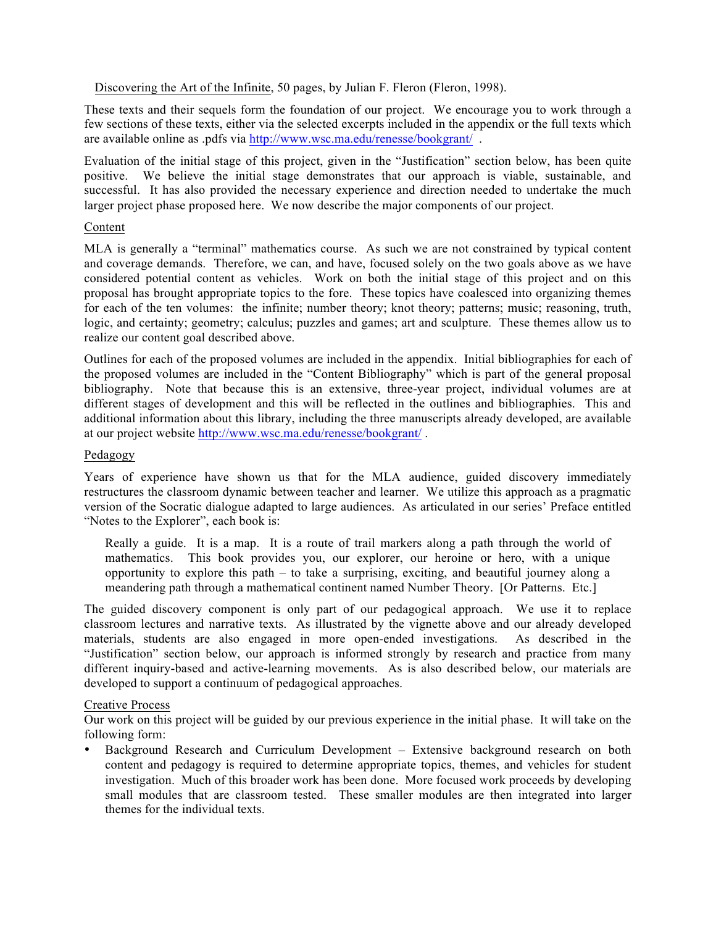Discovering the Art of the Infinite, 50 pages, by Julian F. Fleron (Fleron, 1998).

These texts and their sequels form the foundation of our project. We encourage you to work through a few sections of these texts, either via the selected excerpts included in the appendix or the full texts which are available online as .pdfs via http://www.wsc.ma.edu/renesse/bookgrant/ .

Evaluation of the initial stage of this project, given in the "Justification" section below, has been quite positive. We believe the initial stage demonstrates that our approach is viable, sustainable, and successful. It has also provided the necessary experience and direction needed to undertake the much larger project phase proposed here. We now describe the major components of our project.

## Content

MLA is generally a "terminal" mathematics course. As such we are not constrained by typical content and coverage demands. Therefore, we can, and have, focused solely on the two goals above as we have considered potential content as vehicles. Work on both the initial stage of this project and on this proposal has brought appropriate topics to the fore. These topics have coalesced into organizing themes for each of the ten volumes: the infinite; number theory; knot theory; patterns; music; reasoning, truth, logic, and certainty; geometry; calculus; puzzles and games; art and sculpture. These themes allow us to realize our content goal described above.

Outlines for each of the proposed volumes are included in the appendix. Initial bibliographies for each of the proposed volumes are included in the "Content Bibliography" which is part of the general proposal bibliography. Note that because this is an extensive, three-year project, individual volumes are at different stages of development and this will be reflected in the outlines and bibliographies. This and additional information about this library, including the three manuscripts already developed, are available at our project website http://www.wsc.ma.edu/renesse/bookgrant/ .

## Pedagogy

Years of experience have shown us that for the MLA audience, guided discovery immediately restructures the classroom dynamic between teacher and learner. We utilize this approach as a pragmatic version of the Socratic dialogue adapted to large audiences. As articulated in our series' Preface entitled "Notes to the Explorer", each book is:

Really a guide. It is a map. It is a route of trail markers along a path through the world of mathematics. This book provides you, our explorer, our heroine or hero, with a unique opportunity to explore this path – to take a surprising, exciting, and beautiful journey along a meandering path through a mathematical continent named Number Theory. [Or Patterns. Etc.]

The guided discovery component is only part of our pedagogical approach. We use it to replace classroom lectures and narrative texts. As illustrated by the vignette above and our already developed materials, students are also engaged in more open-ended investigations. As described in the "Justification" section below, our approach is informed strongly by research and practice from many different inquiry-based and active-learning movements. As is also described below, our materials are developed to support a continuum of pedagogical approaches.

## Creative Process

Our work on this project will be guided by our previous experience in the initial phase. It will take on the following form:

• Background Research and Curriculum Development – Extensive background research on both content and pedagogy is required to determine appropriate topics, themes, and vehicles for student investigation. Much of this broader work has been done. More focused work proceeds by developing small modules that are classroom tested. These smaller modules are then integrated into larger themes for the individual texts.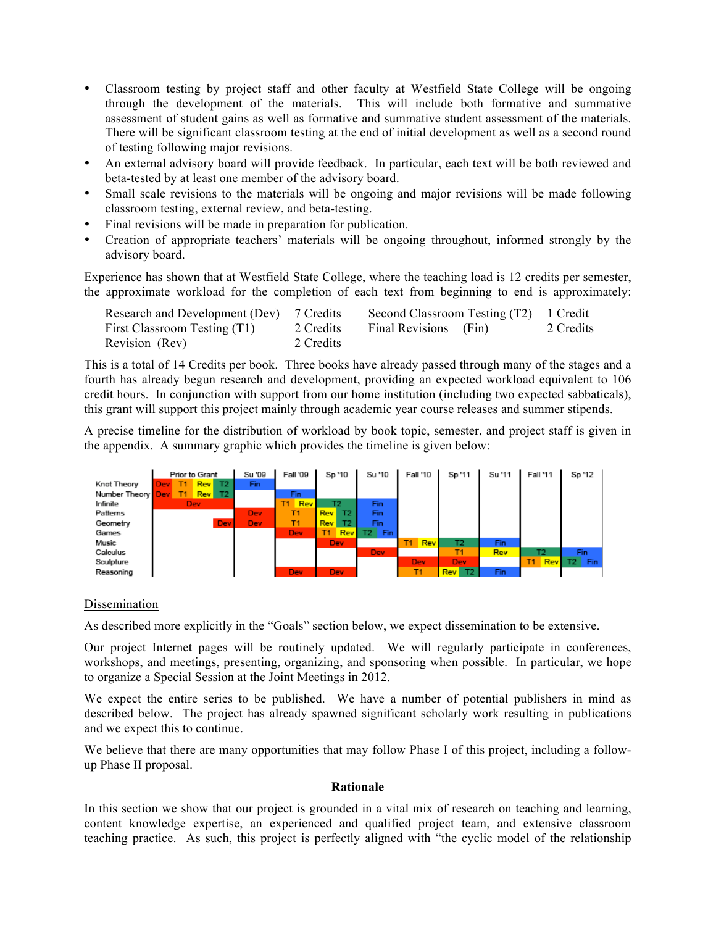- Classroom testing by project staff and other faculty at Westfield State College will be ongoing through the development of the materials. This will include both formative and summative assessment of student gains as well as formative and summative student assessment of the materials. There will be significant classroom testing at the end of initial development as well as a second round of testing following major revisions.
- An external advisory board will provide feedback. In particular, each text will be both reviewed and beta-tested by at least one member of the advisory board.
- Small scale revisions to the materials will be ongoing and major revisions will be made following classroom testing, external review, and beta-testing.
- Final revisions will be made in preparation for publication.
- Creation of appropriate teachers' materials will be ongoing throughout, informed strongly by the advisory board.

Experience has shown that at Westfield State College, where the teaching load is 12 credits per semester, the approximate workload for the completion of each text from beginning to end is approximately:

| Research and Development (Dev) 7 Credits |           | Second Classroom Testing (T2) 1 Credit |           |
|------------------------------------------|-----------|----------------------------------------|-----------|
| First Classroom Testing (T1)             | 2 Credits | Final Revisions (Fin)                  | 2 Credits |
| Revision (Rev)                           | 2 Credits |                                        |           |

This is a total of 14 Credits per book. Three books have already passed through many of the stages and a fourth has already begun research and development, providing an expected workload equivalent to 106 credit hours. In conjunction with support from our home institution (including two expected sabbaticals), this grant will support this project mainly through academic year course releases and summer stipends.

A precise timeline for the distribution of workload by book topic, semester, and project staff is given in the appendix. A summary graphic which provides the timeline is given below:



## Dissemination

As described more explicitly in the "Goals" section below, we expect dissemination to be extensive.

Our project Internet pages will be routinely updated. We will regularly participate in conferences, workshops, and meetings, presenting, organizing, and sponsoring when possible. In particular, we hope to organize a Special Session at the Joint Meetings in 2012.

We expect the entire series to be published. We have a number of potential publishers in mind as described below. The project has already spawned significant scholarly work resulting in publications and we expect this to continue.

We believe that there are many opportunities that may follow Phase I of this project, including a followup Phase II proposal.

### **Rationale**

In this section we show that our project is grounded in a vital mix of research on teaching and learning, content knowledge expertise, an experienced and qualified project team, and extensive classroom teaching practice. As such, this project is perfectly aligned with "the cyclic model of the relationship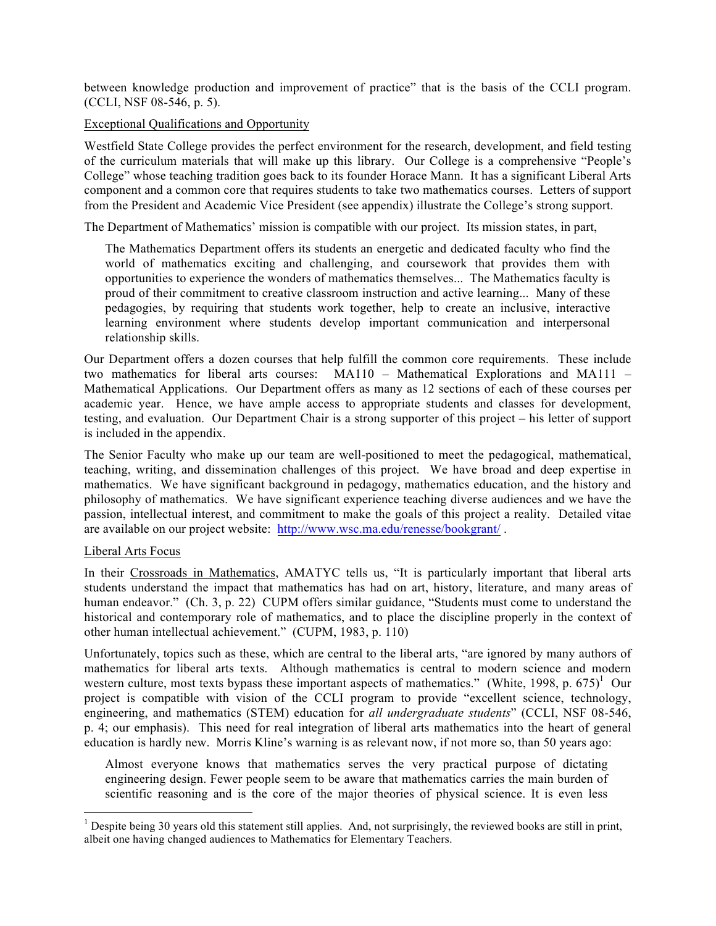between knowledge production and improvement of practice" that is the basis of the CCLI program. (CCLI, NSF 08-546, p. 5).

### Exceptional Qualifications and Opportunity

Westfield State College provides the perfect environment for the research, development, and field testing of the curriculum materials that will make up this library. Our College is a comprehensive "People's College" whose teaching tradition goes back to its founder Horace Mann. It has a significant Liberal Arts component and a common core that requires students to take two mathematics courses. Letters of support from the President and Academic Vice President (see appendix) illustrate the College's strong support.

The Department of Mathematics' mission is compatible with our project. Its mission states, in part,

The Mathematics Department offers its students an energetic and dedicated faculty who find the world of mathematics exciting and challenging, and coursework that provides them with opportunities to experience the wonders of mathematics themselves... The Mathematics faculty is proud of their commitment to creative classroom instruction and active learning... Many of these pedagogies, by requiring that students work together, help to create an inclusive, interactive learning environment where students develop important communication and interpersonal relationship skills.

Our Department offers a dozen courses that help fulfill the common core requirements. These include two mathematics for liberal arts courses: MA110 – Mathematical Explorations and MA111 – Mathematical Applications. Our Department offers as many as 12 sections of each of these courses per academic year. Hence, we have ample access to appropriate students and classes for development, testing, and evaluation. Our Department Chair is a strong supporter of this project – his letter of support is included in the appendix.

The Senior Faculty who make up our team are well-positioned to meet the pedagogical, mathematical, teaching, writing, and dissemination challenges of this project. We have broad and deep expertise in mathematics. We have significant background in pedagogy, mathematics education, and the history and philosophy of mathematics. We have significant experience teaching diverse audiences and we have the passion, intellectual interest, and commitment to make the goals of this project a reality. Detailed vitae are available on our project website: http://www.wsc.ma.edu/renesse/bookgrant/ .

### Liberal Arts Focus

In their Crossroads in Mathematics, AMATYC tells us, "It is particularly important that liberal arts students understand the impact that mathematics has had on art, history, literature, and many areas of human endeavor." (Ch. 3, p. 22) CUPM offers similar guidance, "Students must come to understand the historical and contemporary role of mathematics, and to place the discipline properly in the context of other human intellectual achievement." (CUPM, 1983, p. 110)

Unfortunately, topics such as these, which are central to the liberal arts, "are ignored by many authors of mathematics for liberal arts texts. Although mathematics is central to modern science and modern western culture, most texts bypass these important aspects of mathematics." (White, 1998, p. 675)<sup>1</sup> Our project is compatible with vision of the CCLI program to provide "excellent science, technology, engineering, and mathematics (STEM) education for *all undergraduate students*" (CCLI, NSF 08-546, p. 4; our emphasis). This need for real integration of liberal arts mathematics into the heart of general education is hardly new. Morris Kline's warning is as relevant now, if not more so, than 50 years ago:

Almost everyone knows that mathematics serves the very practical purpose of dictating engineering design. Fewer people seem to be aware that mathematics carries the main burden of scientific reasoning and is the core of the major theories of physical science. It is even less

 $1$  Despite being 30 years old this statement still applies. And, not surprisingly, the reviewed books are still in print, albeit one having changed audiences to Mathematics for Elementary Teachers.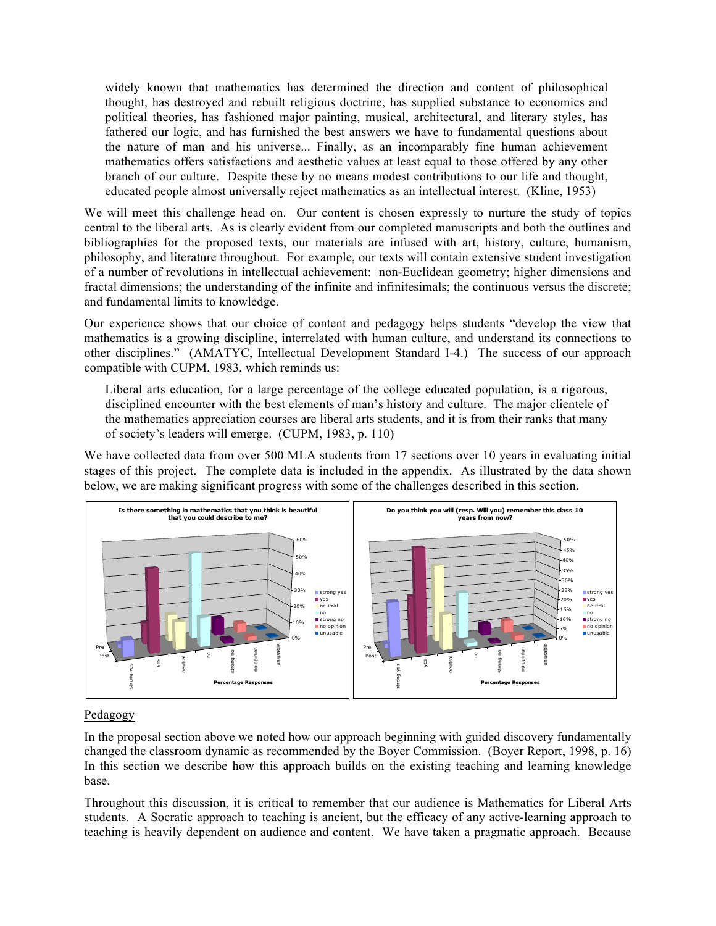widely known that mathematics has determined the direction and content of philosophical thought, has destroyed and rebuilt religious doctrine, has supplied substance to economics and political theories, has fashioned major painting, musical, architectural, and literary styles, has fathered our logic, and has furnished the best answers we have to fundamental questions about the nature of man and his universe... Finally, as an incomparably fine human achievement mathematics offers satisfactions and aesthetic values at least equal to those offered by any other branch of our culture. Despite these by no means modest contributions to our life and thought, educated people almost universally reject mathematics as an intellectual interest. (Kline, 1953)

We will meet this challenge head on. Our content is chosen expressly to nurture the study of topics central to the liberal arts. As is clearly evident from our completed manuscripts and both the outlines and bibliographies for the proposed texts, our materials are infused with art, history, culture, humanism, philosophy, and literature throughout. For example, our texts will contain extensive student investigation of a number of revolutions in intellectual achievement: non-Euclidean geometry; higher dimensions and fractal dimensions; the understanding of the infinite and infinitesimals; the continuous versus the discrete; and fundamental limits to knowledge.

Our experience shows that our choice of content and pedagogy helps students "develop the view that mathematics is a growing discipline, interrelated with human culture, and understand its connections to other disciplines." (AMATYC, Intellectual Development Standard I-4.) The success of our approach compatible with CUPM, 1983, which reminds us:

Liberal arts education, for a large percentage of the college educated population, is a rigorous, disciplined encounter with the best elements of man's history and culture. The major clientele of the mathematics appreciation courses are liberal arts students, and it is from their ranks that many of society's leaders will emerge. (CUPM, 1983, p. 110)

We have collected data from over 500 MLA students from 17 sections over 10 years in evaluating initial stages of this project. The complete data is included in the appendix. As illustrated by the data shown below, we are making significant progress with some of the challenges described in this section.



## Pedagogy

In the proposal section above we noted how our approach beginning with guided discovery fundamentally changed the classroom dynamic as recommended by the Boyer Commission. (Boyer Report, 1998, p. 16) In this section we describe how this approach builds on the existing teaching and learning knowledge base.

Throughout this discussion, it is critical to remember that our audience is Mathematics for Liberal Arts students. A Socratic approach to teaching is ancient, but the efficacy of any active-learning approach to teaching is heavily dependent on audience and content. We have taken a pragmatic approach. Because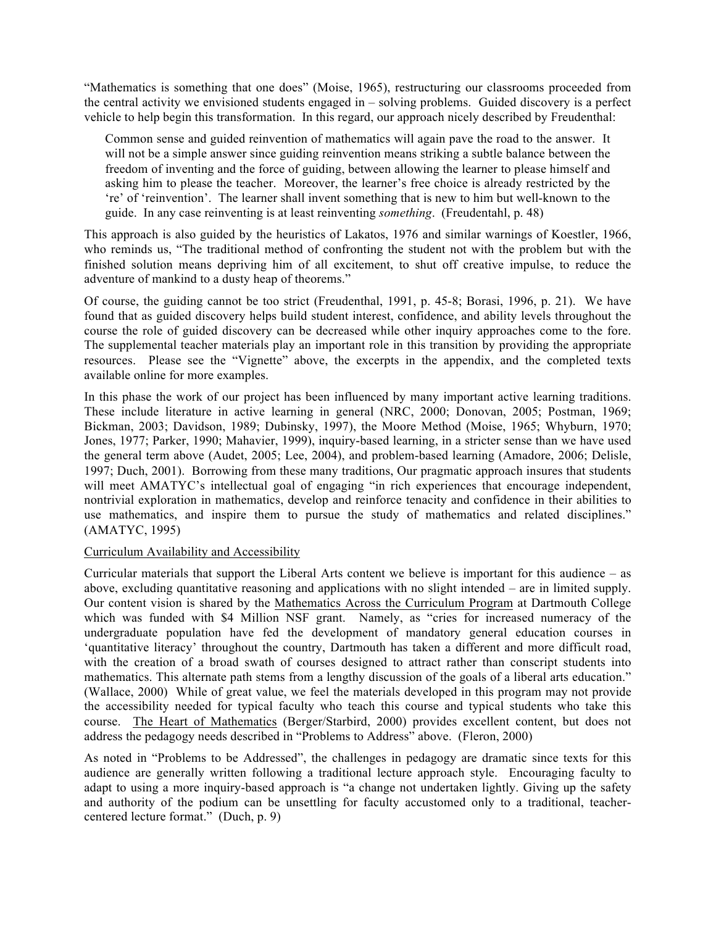"Mathematics is something that one does" (Moise, 1965), restructuring our classrooms proceeded from the central activity we envisioned students engaged in – solving problems. Guided discovery is a perfect vehicle to help begin this transformation. In this regard, our approach nicely described by Freudenthal:

Common sense and guided reinvention of mathematics will again pave the road to the answer. It will not be a simple answer since guiding reinvention means striking a subtle balance between the freedom of inventing and the force of guiding, between allowing the learner to please himself and asking him to please the teacher. Moreover, the learner's free choice is already restricted by the 're' of 'reinvention'. The learner shall invent something that is new to him but well-known to the guide. In any case reinventing is at least reinventing *something*. (Freudentahl, p. 48)

This approach is also guided by the heuristics of Lakatos, 1976 and similar warnings of Koestler, 1966, who reminds us, "The traditional method of confronting the student not with the problem but with the finished solution means depriving him of all excitement, to shut off creative impulse, to reduce the adventure of mankind to a dusty heap of theorems."

Of course, the guiding cannot be too strict (Freudenthal, 1991, p. 45-8; Borasi, 1996, p. 21). We have found that as guided discovery helps build student interest, confidence, and ability levels throughout the course the role of guided discovery can be decreased while other inquiry approaches come to the fore. The supplemental teacher materials play an important role in this transition by providing the appropriate resources. Please see the "Vignette" above, the excerpts in the appendix, and the completed texts available online for more examples.

In this phase the work of our project has been influenced by many important active learning traditions. These include literature in active learning in general (NRC, 2000; Donovan, 2005; Postman, 1969; Bickman, 2003; Davidson, 1989; Dubinsky, 1997), the Moore Method (Moise, 1965; Whyburn, 1970; Jones, 1977; Parker, 1990; Mahavier, 1999), inquiry-based learning, in a stricter sense than we have used the general term above (Audet, 2005; Lee, 2004), and problem-based learning (Amadore, 2006; Delisle, 1997; Duch, 2001). Borrowing from these many traditions, Our pragmatic approach insures that students will meet AMATYC's intellectual goal of engaging "in rich experiences that encourage independent, nontrivial exploration in mathematics, develop and reinforce tenacity and confidence in their abilities to use mathematics, and inspire them to pursue the study of mathematics and related disciplines." (AMATYC, 1995)

### Curriculum Availability and Accessibility

Curricular materials that support the Liberal Arts content we believe is important for this audience – as above, excluding quantitative reasoning and applications with no slight intended – are in limited supply. Our content vision is shared by the Mathematics Across the Curriculum Program at Dartmouth College which was funded with \$4 Million NSF grant. Namely, as "cries for increased numeracy of the undergraduate population have fed the development of mandatory general education courses in 'quantitative literacy' throughout the country, Dartmouth has taken a different and more difficult road, with the creation of a broad swath of courses designed to attract rather than conscript students into mathematics. This alternate path stems from a lengthy discussion of the goals of a liberal arts education." (Wallace, 2000) While of great value, we feel the materials developed in this program may not provide the accessibility needed for typical faculty who teach this course and typical students who take this course. The Heart of Mathematics (Berger/Starbird, 2000) provides excellent content, but does not address the pedagogy needs described in "Problems to Address" above. (Fleron, 2000)

As noted in "Problems to be Addressed", the challenges in pedagogy are dramatic since texts for this audience are generally written following a traditional lecture approach style. Encouraging faculty to adapt to using a more inquiry-based approach is "a change not undertaken lightly. Giving up the safety and authority of the podium can be unsettling for faculty accustomed only to a traditional, teachercentered lecture format." (Duch, p. 9)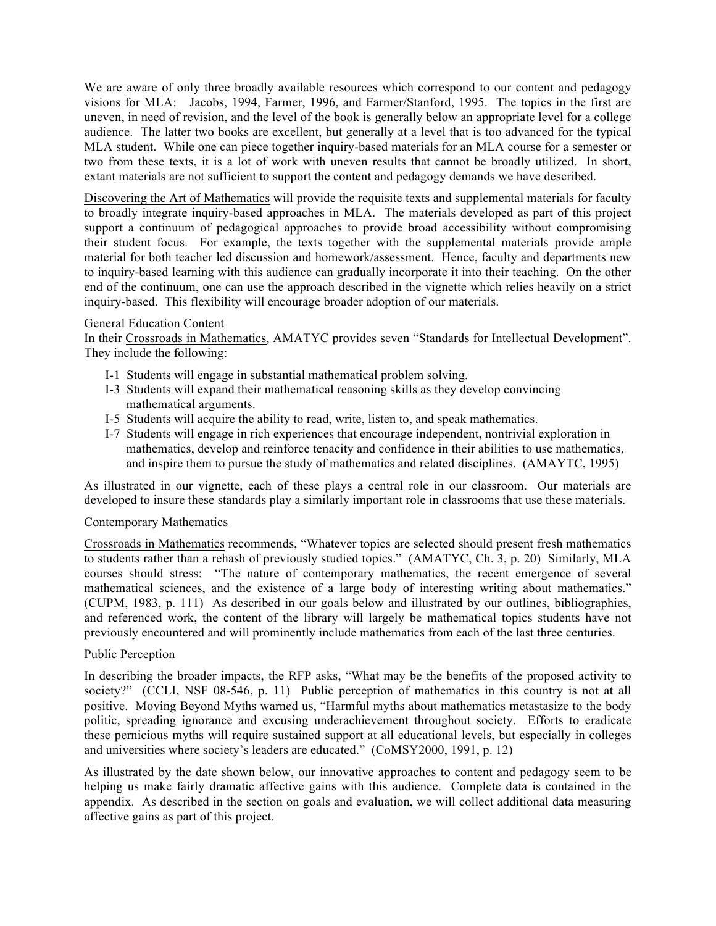We are aware of only three broadly available resources which correspond to our content and pedagogy visions for MLA: Jacobs, 1994, Farmer, 1996, and Farmer/Stanford, 1995. The topics in the first are uneven, in need of revision, and the level of the book is generally below an appropriate level for a college audience. The latter two books are excellent, but generally at a level that is too advanced for the typical MLA student. While one can piece together inquiry-based materials for an MLA course for a semester or two from these texts, it is a lot of work with uneven results that cannot be broadly utilized. In short, extant materials are not sufficient to support the content and pedagogy demands we have described.

Discovering the Art of Mathematics will provide the requisite texts and supplemental materials for faculty to broadly integrate inquiry-based approaches in MLA. The materials developed as part of this project support a continuum of pedagogical approaches to provide broad accessibility without compromising their student focus. For example, the texts together with the supplemental materials provide ample material for both teacher led discussion and homework/assessment. Hence, faculty and departments new to inquiry-based learning with this audience can gradually incorporate it into their teaching. On the other end of the continuum, one can use the approach described in the vignette which relies heavily on a strict inquiry-based. This flexibility will encourage broader adoption of our materials.

## General Education Content

In their Crossroads in Mathematics, AMATYC provides seven "Standards for Intellectual Development". They include the following:

- I-1 Students will engage in substantial mathematical problem solving.
- I-3 Students will expand their mathematical reasoning skills as they develop convincing mathematical arguments.
- I-5 Students will acquire the ability to read, write, listen to, and speak mathematics.
- I-7 Students will engage in rich experiences that encourage independent, nontrivial exploration in mathematics, develop and reinforce tenacity and confidence in their abilities to use mathematics, and inspire them to pursue the study of mathematics and related disciplines. (AMAYTC, 1995)

As illustrated in our vignette, each of these plays a central role in our classroom. Our materials are developed to insure these standards play a similarly important role in classrooms that use these materials.

### Contemporary Mathematics

Crossroads in Mathematics recommends, "Whatever topics are selected should present fresh mathematics to students rather than a rehash of previously studied topics." (AMATYC, Ch. 3, p. 20) Similarly, MLA courses should stress: "The nature of contemporary mathematics, the recent emergence of several mathematical sciences, and the existence of a large body of interesting writing about mathematics." (CUPM, 1983, p. 111) As described in our goals below and illustrated by our outlines, bibliographies, and referenced work, the content of the library will largely be mathematical topics students have not previously encountered and will prominently include mathematics from each of the last three centuries.

### Public Perception

In describing the broader impacts, the RFP asks, "What may be the benefits of the proposed activity to society?" (CCLI, NSF 08-546, p. 11) Public perception of mathematics in this country is not at all positive. Moving Beyond Myths warned us, "Harmful myths about mathematics metastasize to the body politic, spreading ignorance and excusing underachievement throughout society. Efforts to eradicate these pernicious myths will require sustained support at all educational levels, but especially in colleges and universities where society's leaders are educated." (CoMSY2000, 1991, p. 12)

As illustrated by the date shown below, our innovative approaches to content and pedagogy seem to be helping us make fairly dramatic affective gains with this audience. Complete data is contained in the appendix. As described in the section on goals and evaluation, we will collect additional data measuring affective gains as part of this project.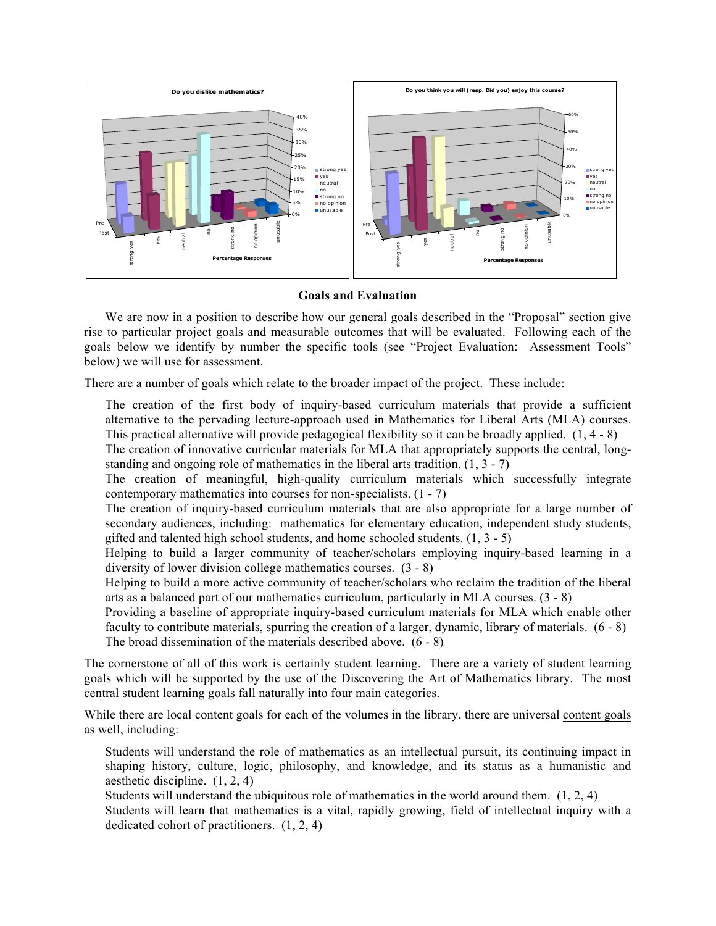

### **Goals and Evaluation**

We are now in a position to describe how our general goals described in the "Proposal" section give rise to particular project goals and measurable outcomes that will be evaluated. Following each of the goals below we identify by number the specific tools (see "Project Evaluation: Assessment Tools" below) we will use for assessment.

There are a number of goals which relate to the broader impact of the project. These include:

 The creation of the first body of inquiry-based curriculum materials that provide a sufficient alternative to the pervading lecture-approach used in Mathematics for Liberal Arts (MLA) courses. This practical alternative will provide pedagogical flexibility so it can be broadly applied. (1, 4 - 8)

 The creation of innovative curricular materials for MLA that appropriately supports the central, longstanding and ongoing role of mathematics in the liberal arts tradition.  $(1, 3 - 7)$ 

 The creation of meaningful, high-quality curriculum materials which successfully integrate contemporary mathematics into courses for non-specialists. (1 - 7)

 The creation of inquiry-based curriculum materials that are also appropriate for a large number of secondary audiences, including: mathematics for elementary education, independent study students, gifted and talented high school students, and home schooled students.  $(1, 3 - 5)$ 

 Helping to build a larger community of teacher/scholars employing inquiry-based learning in a diversity of lower division college mathematics courses. (3 - 8)

 Helping to build a more active community of teacher/scholars who reclaim the tradition of the liberal arts as a balanced part of our mathematics curriculum, particularly in MLA courses. (3 - 8)

 Providing a baseline of appropriate inquiry-based curriculum materials for MLA which enable other faculty to contribute materials, spurring the creation of a larger, dynamic, library of materials. (6 - 8) The broad dissemination of the materials described above. (6 - 8)

The cornerstone of all of this work is certainly student learning. There are a variety of student learning goals which will be supported by the use of the Discovering the Art of Mathematics library. The most central student learning goals fall naturally into four main categories.

While there are local content goals for each of the volumes in the library, there are universal content goals as well, including:

 Students will understand the role of mathematics as an intellectual pursuit, its continuing impact in shaping history, culture, logic, philosophy, and knowledge, and its status as a humanistic and aesthetic discipline. (1, 2, 4)

Students will understand the ubiquitous role of mathematics in the world around them. (1, 2, 4)

 Students will learn that mathematics is a vital, rapidly growing, field of intellectual inquiry with a dedicated cohort of practitioners. (1, 2, 4)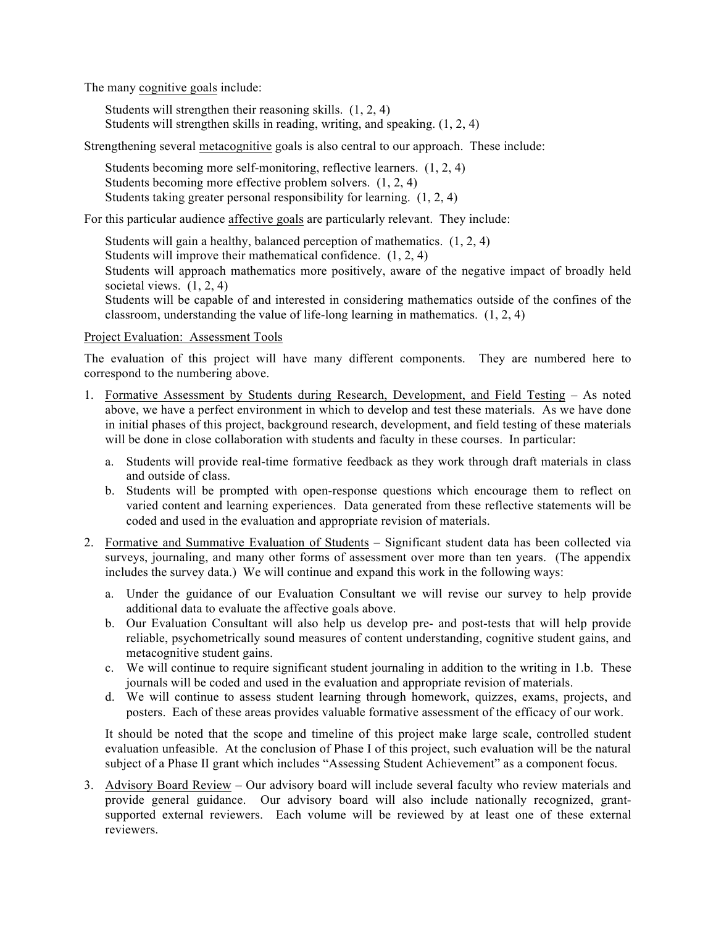The many cognitive goals include:

 Students will strengthen their reasoning skills. (1, 2, 4) Students will strengthen skills in reading, writing, and speaking. (1, 2, 4)

Strengthening several metacognitive goals is also central to our approach. These include:

 Students becoming more self-monitoring, reflective learners. (1, 2, 4) Students becoming more effective problem solvers. (1, 2, 4) Students taking greater personal responsibility for learning. (1, 2, 4)

For this particular audience affective goals are particularly relevant. They include:

 Students will gain a healthy, balanced perception of mathematics. (1, 2, 4) Students will improve their mathematical confidence. (1, 2, 4) Students will approach mathematics more positively, aware of the negative impact of broadly held societal views.  $(1, 2, 4)$  Students will be capable of and interested in considering mathematics outside of the confines of the classroom, understanding the value of life-long learning in mathematics. (1, 2, 4)

### Project Evaluation: Assessment Tools

The evaluation of this project will have many different components. They are numbered here to correspond to the numbering above.

- 1. Formative Assessment by Students during Research, Development, and Field Testing As noted above, we have a perfect environment in which to develop and test these materials. As we have done in initial phases of this project, background research, development, and field testing of these materials will be done in close collaboration with students and faculty in these courses. In particular:
	- a. Students will provide real-time formative feedback as they work through draft materials in class and outside of class.
	- b. Students will be prompted with open-response questions which encourage them to reflect on varied content and learning experiences. Data generated from these reflective statements will be coded and used in the evaluation and appropriate revision of materials.
- 2. Formative and Summative Evaluation of Students Significant student data has been collected via surveys, journaling, and many other forms of assessment over more than ten years. (The appendix includes the survey data.) We will continue and expand this work in the following ways:
	- a. Under the guidance of our Evaluation Consultant we will revise our survey to help provide additional data to evaluate the affective goals above.
	- b. Our Evaluation Consultant will also help us develop pre- and post-tests that will help provide reliable, psychometrically sound measures of content understanding, cognitive student gains, and metacognitive student gains.
	- c. We will continue to require significant student journaling in addition to the writing in 1.b. These journals will be coded and used in the evaluation and appropriate revision of materials.
	- d. We will continue to assess student learning through homework, quizzes, exams, projects, and posters. Each of these areas provides valuable formative assessment of the efficacy of our work.

It should be noted that the scope and timeline of this project make large scale, controlled student evaluation unfeasible. At the conclusion of Phase I of this project, such evaluation will be the natural subject of a Phase II grant which includes "Assessing Student Achievement" as a component focus.

3. Advisory Board Review – Our advisory board will include several faculty who review materials and provide general guidance. Our advisory board will also include nationally recognized, grantsupported external reviewers. Each volume will be reviewed by at least one of these external reviewers.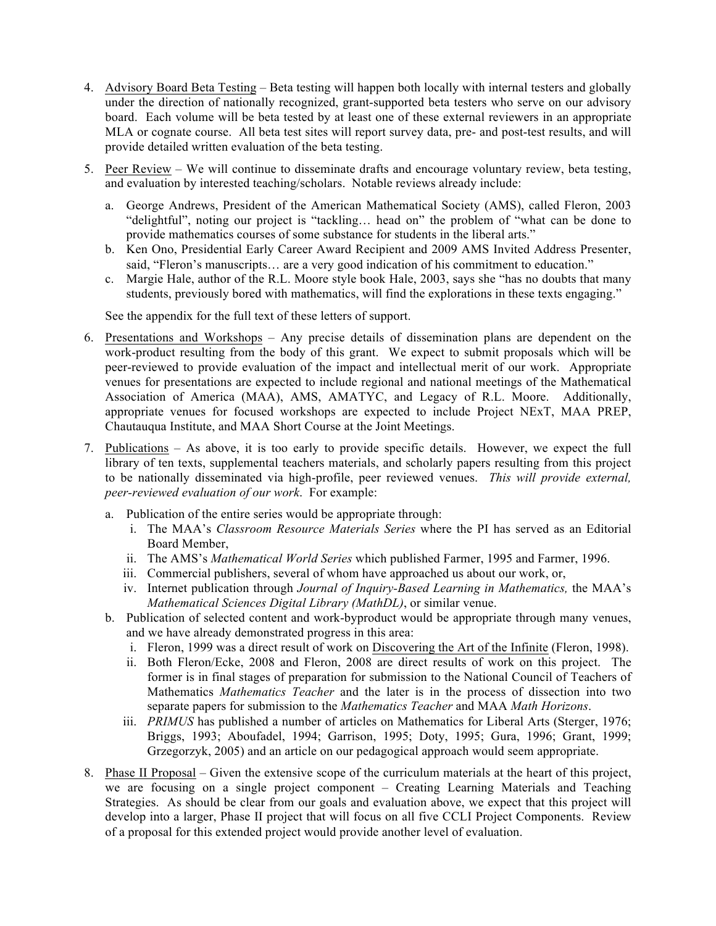- 4. Advisory Board Beta Testing Beta testing will happen both locally with internal testers and globally under the direction of nationally recognized, grant-supported beta testers who serve on our advisory board. Each volume will be beta tested by at least one of these external reviewers in an appropriate MLA or cognate course. All beta test sites will report survey data, pre- and post-test results, and will provide detailed written evaluation of the beta testing.
- 5. Peer Review We will continue to disseminate drafts and encourage voluntary review, beta testing, and evaluation by interested teaching/scholars. Notable reviews already include:
	- a. George Andrews, President of the American Mathematical Society (AMS), called Fleron, 2003 "delightful", noting our project is "tackling… head on" the problem of "what can be done to provide mathematics courses of some substance for students in the liberal arts."
	- b. Ken Ono, Presidential Early Career Award Recipient and 2009 AMS Invited Address Presenter, said, "Fleron's manuscripts… are a very good indication of his commitment to education."
	- c. Margie Hale, author of the R.L. Moore style book Hale, 2003, says she "has no doubts that many students, previously bored with mathematics, will find the explorations in these texts engaging."

See the appendix for the full text of these letters of support.

- 6. Presentations and Workshops Any precise details of dissemination plans are dependent on the work-product resulting from the body of this grant. We expect to submit proposals which will be peer-reviewed to provide evaluation of the impact and intellectual merit of our work. Appropriate venues for presentations are expected to include regional and national meetings of the Mathematical Association of America (MAA), AMS, AMATYC, and Legacy of R.L. Moore. Additionally, appropriate venues for focused workshops are expected to include Project NExT, MAA PREP, Chautauqua Institute, and MAA Short Course at the Joint Meetings.
- 7. Publications As above, it is too early to provide specific details. However, we expect the full library of ten texts, supplemental teachers materials, and scholarly papers resulting from this project to be nationally disseminated via high-profile, peer reviewed venues. *This will provide external, peer-reviewed evaluation of our work*. For example:
	- a. Publication of the entire series would be appropriate through:
		- i. The MAA's *Classroom Resource Materials Series* where the PI has served as an Editorial Board Member,
		- ii. The AMS's *Mathematical World Series* which published Farmer, 1995 and Farmer, 1996.
		- iii. Commercial publishers, several of whom have approached us about our work, or,
		- iv. Internet publication through *Journal of Inquiry-Based Learning in Mathematics,* the MAA's *Mathematical Sciences Digital Library (MathDL)*, or similar venue.
	- b. Publication of selected content and work-byproduct would be appropriate through many venues, and we have already demonstrated progress in this area:
		- i. Fleron, 1999 was a direct result of work on Discovering the Art of the Infinite (Fleron, 1998).
		- ii. Both Fleron/Ecke, 2008 and Fleron, 2008 are direct results of work on this project. The former is in final stages of preparation for submission to the National Council of Teachers of Mathematics *Mathematics Teacher* and the later is in the process of dissection into two separate papers for submission to the *Mathematics Teacher* and MAA *Math Horizons*.
		- iii. *PRIMUS* has published a number of articles on Mathematics for Liberal Arts (Sterger, 1976; Briggs, 1993; Aboufadel, 1994; Garrison, 1995; Doty, 1995; Gura, 1996; Grant, 1999; Grzegorzyk, 2005) and an article on our pedagogical approach would seem appropriate.
- 8. Phase II Proposal Given the extensive scope of the curriculum materials at the heart of this project, we are focusing on a single project component – Creating Learning Materials and Teaching Strategies. As should be clear from our goals and evaluation above, we expect that this project will develop into a larger, Phase II project that will focus on all five CCLI Project Components. Review of a proposal for this extended project would provide another level of evaluation.